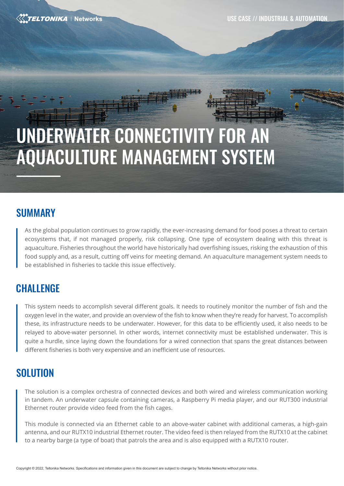USE CASE // INDUSTRIAL & AUTOMATION

**ELTONIKA** | Networks

# UNDERWATER CONNECTIVITY FOR AN AQUACULTURE MANAGEMENT SYSTEM

# SUMMARY

As the global population continues to grow rapidly, the ever-increasing demand for food poses a threat to certain ecosystems that, if not managed properly, risk collapsing. One type of ecosystem dealing with this threat is aquaculture. Fisheries throughout the world have historically had overfishing issues, risking the exhaustion of this food supply and, as a result, cutting off veins for meeting demand. An aquaculture management system needs to be established in fisheries to tackle this issue effectively.

# **CHALLENGE**

This system needs to accomplish several different goals. It needs to routinely monitor the number of fish and the oxygen level in the water, and provide an overview of the fish to know when they're ready for harvest. To accomplish these, its infrastructure needs to be underwater. However, for this data to be efficiently used, it also needs to be relayed to above-water personnel. In other words, internet connectivity must be established underwater. This is quite a hurdle, since laying down the foundations for a wired connection that spans the great distances between different fisheries is both very expensive and an inefficient use of resources.

# **SOLUTION**

The solution is a complex orchestra of connected devices and both wired and wireless communication working in tandem. An underwater capsule containing cameras, a Raspberry Pi media player, and our RUT300 industrial Ethernet router provide video feed from the fish cages.

This module is connected via an Ethernet cable to an above-water cabinet with additional cameras, a high-gain antenna, and our RUTX10 industrial Ethernet router. The video feed is then relayed from the RUTX10 at the cabinet to a nearby barge (a type of boat) that patrols the area and is also equipped with a RUTX10 router.